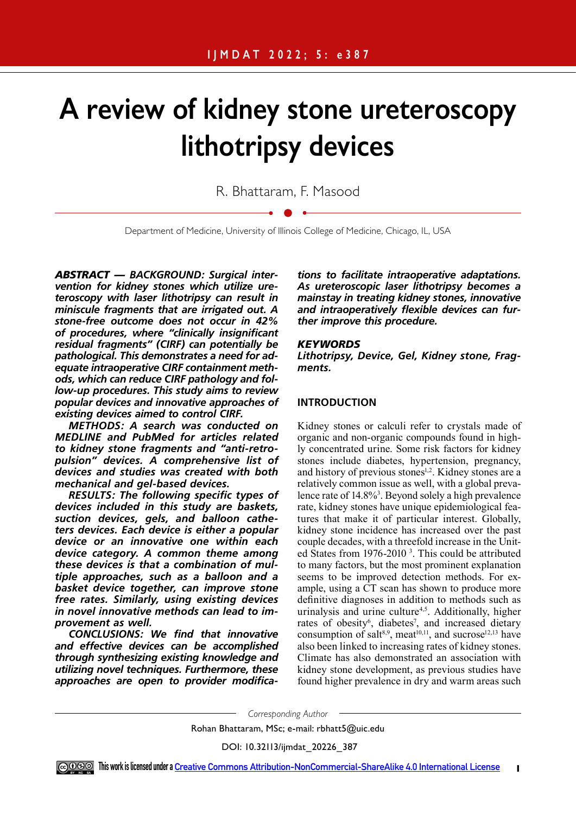# **A review of kidney stone ureteroscopy lithotripsy devices**

R. Bhattaram, F. Masood

Department of Medicine, University of Illinois College of Medicine, Chicago, IL, USA

*ABSTRACT — BACKGROUND: Surgical intervention for kidney stones which utilize ureteroscopy with laser lithotripsy can result in miniscule fragments that are irrigated out. A stone-free outcome does not occur in 42% of procedures, where "clinically insignificant residual fragments" (CIRF) can potentially be pathological. This demonstrates a need for adequate intraoperative CIRF containment methods, which can reduce CIRF pathology and follow-up procedures. This study aims to review popular devices and innovative approaches of existing devices aimed to control CIRF.* 

*METHODS: A search was conducted on MEDLINE and PubMed for articles related to kidney stone fragments and "anti-retropulsion" devices. A comprehensive list of devices and studies was created with both mechanical and gel-based devices.* 

*RESULTS: The following specific types of devices included in this study are baskets, suction devices, gels, and balloon catheters devices. Each device is either a popular device or an innovative one within each device category. A common theme among these devices is that a combination of multiple approaches, such as a balloon and a basket device together, can improve stone free rates. Similarly, using existing devices in novel innovative methods can lead to improvement as well.* 

*CONCLUSIONS: We find that innovative and effective devices can be accomplished through synthesizing existing knowledge and utilizing novel techniques. Furthermore, these approaches are open to provider modifica-*

*tions to facilitate intraoperative adaptations. As ureteroscopic laser lithotripsy becomes a mainstay in treating kidney stones, innovative and intraoperatively flexible devices can further improve this procedure.* 

## *KEYWORDS*

*Lithotripsy, Device, Gel, Kidney stone, Fragments.*

## **INTRODUCTION**

Kidney stones or calculi refer to crystals made of organic and non-organic compounds found in highly concentrated urine. Some risk factors for kidney stones include diabetes, hypertension, pregnancy, and history of previous stones<sup>1,2</sup>. Kidney stones are a relatively common issue as well, with a global prevalence rate of 14.8%<sup>3</sup>. Beyond solely a high prevalence rate, kidney stones have unique epidemiological features that make it of particular interest. Globally, kidney stone incidence has increased over the past couple decades, with a threefold increase in the United States from 1976-2010<sup>3</sup>. This could be attributed to many factors, but the most prominent explanation seems to be improved detection methods. For example, using a CT scan has shown to produce more definitive diagnoses in addition to methods such as urinalysis and urine culture<sup>4,5</sup>. Additionally, higher rates of obesity<sup>6</sup>, diabetes<sup>7</sup>, and increased dietary consumption of salt<sup>8,9</sup>, meat<sup>10,11</sup>, and sucrose<sup>12,13</sup> have also been linked to increasing rates of kidney stones. Climate has also demonstrated an association with kidney stone development, as previous studies have found higher prevalence in dry and warm areas such

*Corresponding Author*

Rohan Bhattaram, MSc; e-mail: rbhatt5@uic.edu

DOI: 10.32113/ijmdat\_20226\_387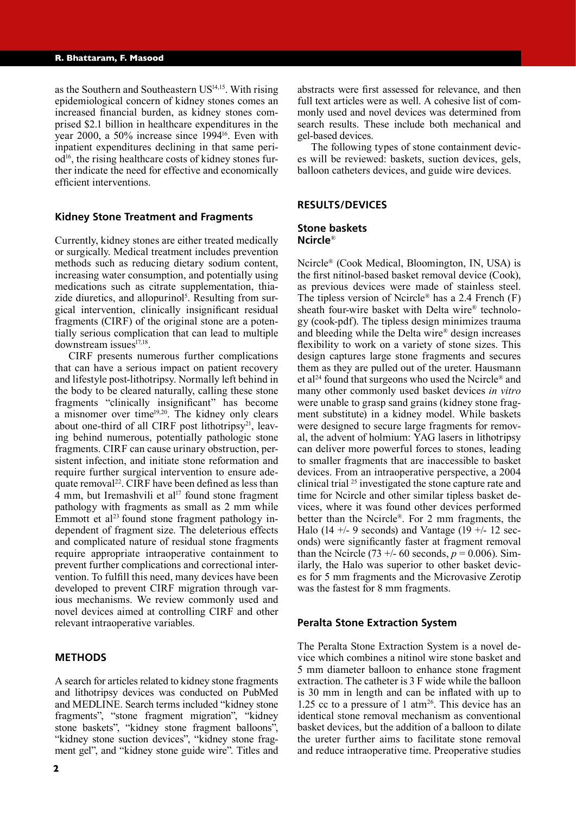as the Southern and Southeastern US<sup>14,15</sup>. With rising epidemiological concern of kidney stones comes an increased financial burden, as kidney stones comprised \$2.1 billion in healthcare expenditures in the year 2000, a 50% increase since 199416. Even with inpatient expenditures declining in that same peri $od<sup>16</sup>$ , the rising healthcare costs of kidney stones further indicate the need for effective and economically efficient interventions.

## **Kidney Stone Treatment and Fragments**

Currently, kidney stones are either treated medically or surgically. Medical treatment includes prevention methods such as reducing dietary sodium content, increasing water consumption, and potentially using medications such as citrate supplementation, thiazide diuretics, and allopurinol<sup>5</sup>. Resulting from surgical intervention, clinically insignificant residual fragments (CIRF) of the original stone are a potentially serious complication that can lead to multiple downstream issues<sup>17,18</sup>.

CIRF presents numerous further complications that can have a serious impact on patient recovery and lifestyle post-lithotripsy. Normally left behind in the body to be cleared naturally, calling these stone fragments "clinically insignificant" has become a misnomer over time19,20. The kidney only clears about one-third of all CIRF post lithotripsy<sup>21</sup>, leaving behind numerous, potentially pathologic stone fragments. CIRF can cause urinary obstruction, persistent infection, and initiate stone reformation and require further surgical intervention to ensure adequate removal<sup>22</sup>. CIRF have been defined as less than  $\overline{4}$  mm, but Iremashvili et al<sup>17</sup> found stone fragment pathology with fragments as small as 2 mm while Emmott et al<sup>23</sup> found stone fragment pathology independent of fragment size. The deleterious effects and complicated nature of residual stone fragments require appropriate intraoperative containment to prevent further complications and correctional intervention. To fulfill this need, many devices have been developed to prevent CIRF migration through various mechanisms. We review commonly used and novel devices aimed at controlling CIRF and other relevant intraoperative variables.

## **METHODS**

A search for articles related to kidney stone fragments and lithotripsy devices was conducted on PubMed and MEDLINE. Search terms included "kidney stone fragments", "stone fragment migration", "kidney stone baskets", "kidney stone fragment balloons", "kidney stone suction devices", "kidney stone fragment gel", and "kidney stone guide wire". Titles and

abstracts were first assessed for relevance, and then full text articles were as well. A cohesive list of commonly used and novel devices was determined from search results. These include both mechanical and gel-based devices.

The following types of stone containment devices will be reviewed: baskets, suction devices, gels, balloon catheters devices, and guide wire devices.

#### **RESULTS/DEVICES**

#### **Stone baskets Ncircle**®

Ncircle® (Cook Medical, Bloomington, IN, USA) is the first nitinol-based basket removal device (Cook), as previous devices were made of stainless steel. The tipless version of Ncircle® has a 2.4 French (F) sheath four-wire basket with Delta wire® technology (cook-pdf). The tipless design minimizes trauma and bleeding while the Delta wire® design increases flexibility to work on a variety of stone sizes. This design captures large stone fragments and secures them as they are pulled out of the ureter. Hausmann et al24 found that surgeons who used the Ncircle® and many other commonly used basket devices *in vitro* were unable to grasp sand grains (kidney stone fragment substitute) in a kidney model. While baskets were designed to secure large fragments for removal, the advent of holmium: YAG lasers in lithotripsy can deliver more powerful forces to stones, leading to smaller fragments that are inaccessible to basket devices. From an intraoperative perspective, a 2004 clinical trial <sup>25</sup> investigated the stone capture rate and time for Ncircle and other similar tipless basket devices, where it was found other devices performed better than the Ncircle®. For 2 mm fragments, the Halo (14 +/- 9 seconds) and Vantage (19 +/- 12 seconds) were significantly faster at fragment removal than the Ncircle (73 +/- 60 seconds,  $p = 0.006$ ). Similarly, the Halo was superior to other basket devices for 5 mm fragments and the Microvasive Zerotip was the fastest for 8 mm fragments.

### **Peralta Stone Extraction System**

The Peralta Stone Extraction System is a novel device which combines a nitinol wire stone basket and 5 mm diameter balloon to enhance stone fragment extraction. The catheter is 3 F wide while the balloon is 30 mm in length and can be inflated with up to 1.25 cc to a pressure of 1 atm<sup>26</sup>. This device has an identical stone removal mechanism as conventional basket devices, but the addition of a balloon to dilate the ureter further aims to facilitate stone removal and reduce intraoperative time. Preoperative studies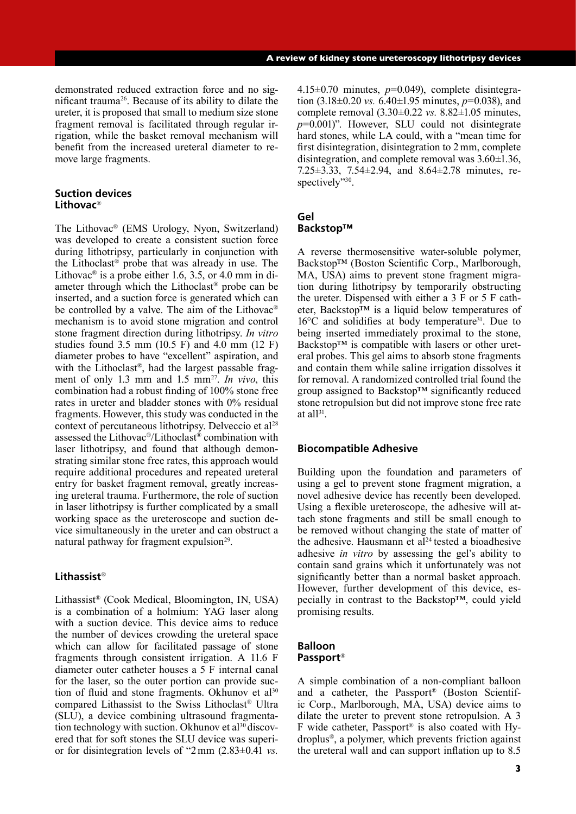demonstrated reduced extraction force and no significant trauma26. Because of its ability to dilate the ureter, it is proposed that small to medium size stone fragment removal is facilitated through regular irrigation, while the basket removal mechanism will benefit from the increased ureteral diameter to remove large fragments.

## **Suction devices Lithovac**®

The Lithovac® (EMS Urology, Nyon, Switzerland) was developed to create a consistent suction force during lithotripsy, particularly in conjunction with the Lithoclast® probe that was already in use. The Lithovac<sup>®</sup> is a probe either 1.6, 3.5, or 4.0 mm in diameter through which the Lithoclast® probe can be inserted, and a suction force is generated which can be controlled by a valve. The aim of the Lithovac® mechanism is to avoid stone migration and control stone fragment direction during lithotripsy. *In vitro*  studies found 3.5 mm (10.5 F) and 4.0 mm (12 F) diameter probes to have "excellent" aspiration, and with the Lithoclast<sup>®</sup>, had the largest passable fragment of only 1.3 mm and 1.5 mm27. *In vivo*, this combination had a robust finding of 100% stone free rates in ureter and bladder stones with 0% residual fragments. However, this study was conducted in the context of percutaneous lithotripsy. Delveccio et al<sup>28</sup> assessed the Lithovac®/Lithoclast® combination with laser lithotripsy, and found that although demonstrating similar stone free rates, this approach would require additional procedures and repeated ureteral entry for basket fragment removal, greatly increasing ureteral trauma. Furthermore, the role of suction in laser lithotripsy is further complicated by a small working space as the ureteroscope and suction device simultaneously in the ureter and can obstruct a natural pathway for fragment expulsion<sup>29</sup>.

# **Lithassist**®

Lithassist® (Cook Medical, Bloomington, IN, USA) is a combination of a holmium: YAG laser along with a suction device. This device aims to reduce the number of devices crowding the ureteral space which can allow for facilitated passage of stone fragments through consistent irrigation. A 11.6 F diameter outer catheter houses a 5 F internal canal for the laser, so the outer portion can provide suction of fluid and stone fragments. Okhunov et al<sup>30</sup> compared Lithassist to the Swiss Lithoclast® Ultra (SLU), a device combining ultrasound fragmentation technology with suction. Okhunov et  $a^{130}$  discovered that for soft stones the SLU device was superior for disintegration levels of "2mm (2.83±0.41 *vs.*

4.15±0.70 minutes, *p*=0.049), complete disintegration (3.18±0.20 *vs.* 6.40±1.95 minutes, *p*=0.038), and complete removal (3.30±0.22 *vs.* 8.82±1.05 minutes, *p*=0.001)". However, SLU could not disintegrate hard stones, while LA could, with a "mean time for first disintegration, disintegration to 2mm, complete disintegration, and complete removal was 3.60±1.36, 7.25±3.33, 7.54±2.94, and 8.64±2.78 minutes, respectively"30.

## **Gel Backstop™**

A reverse thermosensitive water-soluble polymer, Backstop™ (Boston Scientific Corp., Marlborough, MA, USA) aims to prevent stone fragment migration during lithotripsy by temporarily obstructing the ureter. Dispensed with either a 3 F or 5 F catheter, Backstop™ is a liquid below temperatures of  $16^{\circ}$ C and solidifies at body temperature<sup>31</sup>. Due to being inserted immediately proximal to the stone, Backstop™ is compatible with lasers or other ureteral probes. This gel aims to absorb stone fragments and contain them while saline irrigation dissolves it for removal. A randomized controlled trial found the group assigned to Backstop™ significantly reduced stone retropulsion but did not improve stone free rate at all $31$ .

## **Biocompatible Adhesive**

Building upon the foundation and parameters of using a gel to prevent stone fragment migration, a novel adhesive device has recently been developed. Using a flexible ureteroscope, the adhesive will attach stone fragments and still be small enough to be removed without changing the state of matter of the adhesive. Hausmann et  $al<sup>24</sup>$  tested a bioadhesive adhesive *in vitro* by assessing the gel's ability to contain sand grains which it unfortunately was not significantly better than a normal basket approach. However, further development of this device, especially in contrast to the Backstop™, could yield promising results.

## **Balloon Passport**®

A simple combination of a non-compliant balloon and a catheter, the Passport® (Boston Scientific Corp., Marlborough, MA, USA) device aims to dilate the ureter to prevent stone retropulsion. A 3 F wide catheter, Passport® is also coated with Hydroplus®, a polymer, which prevents friction against the ureteral wall and can support inflation up to 8.5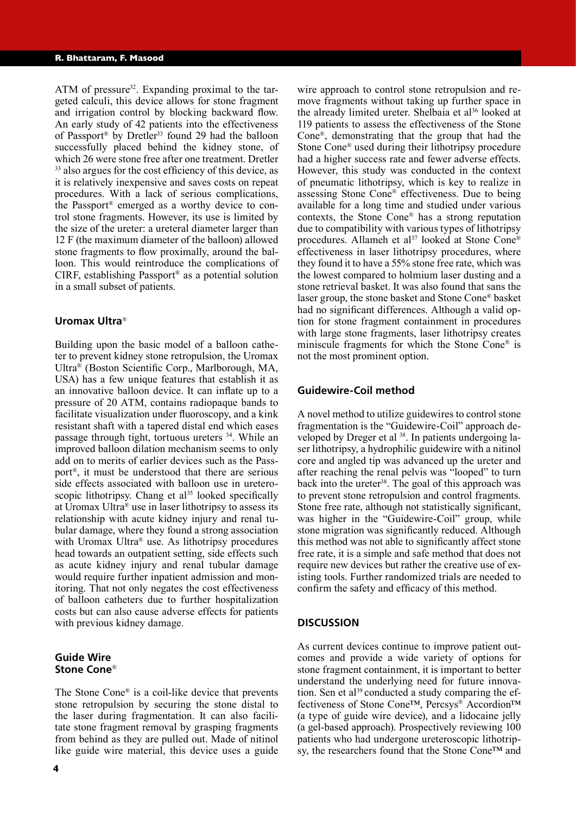ATM of pressure<sup>32</sup>. Expanding proximal to the targeted calculi, this device allows for stone fragment and irrigation control by blocking backward flow. An early study of 42 patients into the effectiveness of Passport<sup>®</sup> by Dretler<sup>33</sup> found 29 had the balloon successfully placed behind the kidney stone, of which 26 were stone free after one treatment. Dretler <sup>33</sup> also argues for the cost efficiency of this device, as it is relatively inexpensive and saves costs on repeat procedures. With a lack of serious complications, the Passport® emerged as a worthy device to control stone fragments. However, its use is limited by the size of the ureter: a ureteral diameter larger than 12 F (the maximum diameter of the balloon) allowed stone fragments to flow proximally, around the balloon. This would reintroduce the complications of CIRF, establishing Passport® as a potential solution in a small subset of patients.

#### **Uromax Ultra**®

Building upon the basic model of a balloon catheter to prevent kidney stone retropulsion, the Uromax Ultra® (Boston Scientific Corp., Marlborough, MA, USA) has a few unique features that establish it as an innovative balloon device. It can inflate up to a pressure of 20 ATM, contains radiopaque bands to facilitate visualization under fluoroscopy, and a kink resistant shaft with a tapered distal end which eases passage through tight, tortuous ureters 34. While an improved balloon dilation mechanism seems to only add on to merits of earlier devices such as the Passport®, it must be understood that there are serious side effects associated with balloon use in ureteroscopic lithotripsy. Chang et  $al<sup>35</sup>$  looked specifically at Uromax Ultra® use in laser lithotripsy to assess its relationship with acute kidney injury and renal tubular damage, where they found a strong association with Uromax Ultra<sup>®</sup> use. As lithotripsy procedures head towards an outpatient setting, side effects such as acute kidney injury and renal tubular damage would require further inpatient admission and monitoring. That not only negates the cost effectiveness of balloon catheters due to further hospitalization costs but can also cause adverse effects for patients with previous kidney damage.

## **Guide Wire Stone Cone**®

The Stone Cone® is a coil-like device that prevents stone retropulsion by securing the stone distal to the laser during fragmentation. It can also facilitate stone fragment removal by grasping fragments from behind as they are pulled out. Made of nitinol like guide wire material, this device uses a guide

the already limited ureter. Shelbaia et al<sup>36</sup> looked at 119 patients to assess the effectiveness of the Stone Cone®, demonstrating that the group that had the Stone Cone® used during their lithotripsy procedure had a higher success rate and fewer adverse effects. However, this study was conducted in the context of pneumatic lithotripsy, which is key to realize in assessing Stone Cone® effectiveness. Due to being available for a long time and studied under various contexts, the Stone Cone® has a strong reputation due to compatibility with various types of lithotripsy procedures. Allameh et al<sup>37</sup> looked at Stone Cone® effectiveness in laser lithotripsy procedures, where they found it to have a 55% stone free rate, which was the lowest compared to holmium laser dusting and a stone retrieval basket. It was also found that sans the laser group, the stone basket and Stone Cone® basket had no significant differences. Although a valid option for stone fragment containment in procedures with large stone fragments, laser lithotripsy creates miniscule fragments for which the Stone Cone® is not the most prominent option.

wire approach to control stone retropulsion and remove fragments without taking up further space in

## **Guidewire-Coil method**

A novel method to utilize guidewires to control stone fragmentation is the "Guidewire-Coil" approach developed by Dreger et al <sup>38</sup>. In patients undergoing laser lithotripsy, a hydrophilic guidewire with a nitinol core and angled tip was advanced up the ureter and after reaching the renal pelvis was "looped" to turn back into the ureter<sup>38</sup>. The goal of this approach was to prevent stone retropulsion and control fragments. Stone free rate, although not statistically significant, was higher in the "Guidewire-Coil" group, while stone migration was significantly reduced. Although this method was not able to significantly affect stone free rate, it is a simple and safe method that does not require new devices but rather the creative use of existing tools. Further randomized trials are needed to confirm the safety and efficacy of this method.

## **DISCUSSION**

As current devices continue to improve patient outcomes and provide a wide variety of options for stone fragment containment, it is important to better understand the underlying need for future innovation. Sen et al<sup>39</sup> conducted a study comparing the effectiveness of Stone Cone™, Percsys® Accordion™ (a type of guide wire device), and a lidocaine jelly (a gel-based approach). Prospectively reviewing 100 patients who had undergone ureteroscopic lithotripsy, the researchers found that the Stone Cone™ and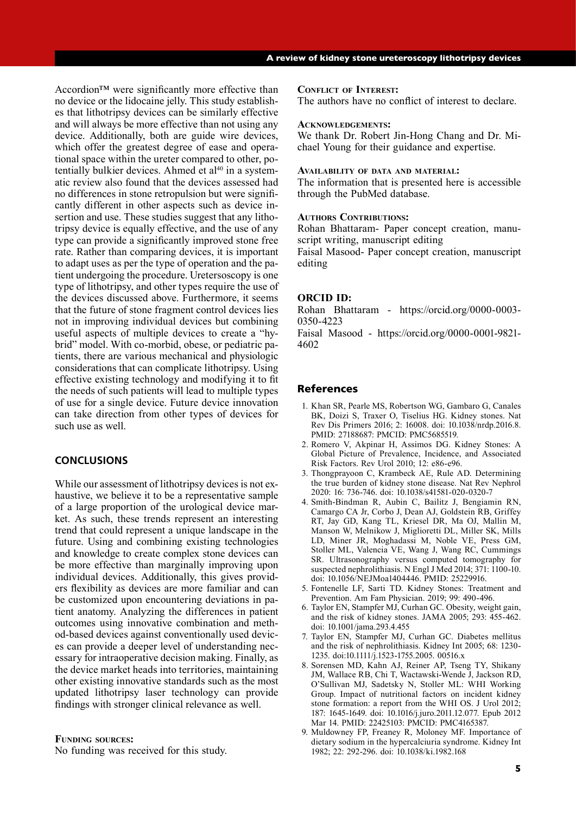Accordion™ were significantly more effective than no device or the lidocaine jelly. This study establishes that lithotripsy devices can be similarly effective and will always be more effective than not using any device. Additionally, both are guide wire devices, which offer the greatest degree of ease and operational space within the ureter compared to other, potentially bulkier devices. Ahmed et  $al^{40}$  in a systematic review also found that the devices assessed had no differences in stone retropulsion but were significantly different in other aspects such as device insertion and use. These studies suggest that any lithotripsy device is equally effective, and the use of any type can provide a significantly improved stone free rate. Rather than comparing devices, it is important to adapt uses as per the type of operation and the patient undergoing the procedure. Uretersoscopy is one type of lithotripsy, and other types require the use of the devices discussed above. Furthermore, it seems that the future of stone fragment control devices lies not in improving individual devices but combining useful aspects of multiple devices to create a "hybrid" model. With co-morbid, obese, or pediatric patients, there are various mechanical and physiologic considerations that can complicate lithotripsy. Using effective existing technology and modifying it to fit the needs of such patients will lead to multiple types of use for a single device. Future device innovation can take direction from other types of devices for such use as well.

# **CONCLUSIONS**

While our assessment of lithotripsy devices is not exhaustive, we believe it to be a representative sample of a large proportion of the urological device market. As such, these trends represent an interesting trend that could represent a unique landscape in the future. Using and combining existing technologies and knowledge to create complex stone devices can be more effective than marginally improving upon individual devices. Additionally, this gives providers flexibility as devices are more familiar and can be customized upon encountering deviations in patient anatomy. Analyzing the differences in patient outcomes using innovative combination and method-based devices against conventionally used devices can provide a deeper level of understanding necessary for intraoperative decision making. Finally, as the device market heads into territories, maintaining other existing innovative standards such as the most updated lithotripsy laser technology can provide findings with stronger clinical relevance as well.

#### **Funding sources:**

No funding was received for this study.

#### **Conflict of Interest:**

The authors have no conflict of interest to declare.

#### **Acknowledgements:**

We thank Dr. Robert Jin-Hong Chang and Dr. Michael Young for their guidance and expertise.

#### **Availability of data and material:**

The information that is presented here is accessible through the PubMed database.

#### **AUTHORS CONTRIBUTIONS:**

Rohan Bhattaram- Paper concept creation, manuscript writing, manuscript editing

Faisal Masood- Paper concept creation, manuscript editing

#### **ORCID ID:**

Rohan Bhattaram - https://orcid.org/0000-0003- 0350-4223

Faisal Masood - https://orcid.org/0000-0001-9821- 4602

## References

- 1. Khan SR, Pearle MS, Robertson WG, Gambaro G, Canales BK, Doizi S, Traxer O, Tiselius HG. Kidney stones. Nat Rev Dis Primers 2016; 2: 16008. doi: 10.1038/nrdp.2016.8. PMID: 27188687: PMCID: PMC5685519.
- 2. Romero V, Akpinar H, Assimos DG. Kidney Stones: A Global Picture of Prevalence, Incidence, and Associated Risk Factors. Rev Urol 2010; 12: e86-e96.
- 3. Thongprayoon C, Krambeck AE, Rule AD. Determining the true burden of kidney stone disease. Nat Rev Nephrol 2020: 16: 736-746. doi: 10.1038/s41581-020-0320-7
- 4. Smith-Bindman R, Aubin C, Bailitz J, Bengiamin RN, Camargo CA Jr, Corbo J, Dean AJ, Goldstein RB, Griffey RT, Jay GD, Kang TL, Kriesel DR, Ma OJ, Mallin M, Manson W, Melnikow J, Miglioretti DL, Miller SK, Mills LD, Miner JR, Moghadassi M, Noble VE, Press GM, Stoller ML, Valencia VE, Wang J, Wang RC, Cummings SR. Ultrasonography versus computed tomography for suspected nephrolithiasis. N Engl J Med 2014; 371: 1100-10. doi: 10.1056/NEJMoa1404446. PMID: 25229916.
- 5. Fontenelle LF, Sarti TD. Kidney Stones: Treatment and Prevention. Am Fam Physician. 2019; 99: 490-496.
- 6. Taylor EN, Stampfer MJ, Curhan GC. Obesity, weight gain, and the risk of kidney stones. JAMA 2005; 293: 455-462. doi: 10.1001/jama.293.4.455
- 7. Taylor EN, Stampfer MJ, Curhan GC. Diabetes mellitus and the risk of nephrolithiasis. Kidney Int 2005; 68: 1230- 1235. doi:10.1111/j.1523-1755.2005. 00516.x
- 8. Sorensen MD, Kahn AJ, Reiner AP, Tseng TY, Shikany JM, Wallace RB, Chi T, Wactawski-Wende J, Jackson RD, O'Sullivan MJ, Sadetsky N, Stoller ML: WHI Working Group. Impact of nutritional factors on incident kidney stone formation: a report from the WHI OS. J Urol 2012; 187: 1645-1649. doi: 10.1016/j.juro.2011.12.077. Epub 2012 Mar 14. PMID: 22425103: PMCID: PMC4165387.
- 9. Muldowney FP, Freaney R, Moloney MF. Importance of dietary sodium in the hypercalciuria syndrome. Kidney Int 1982; 22: 292-296. doi: 10.1038/ki.1982.168